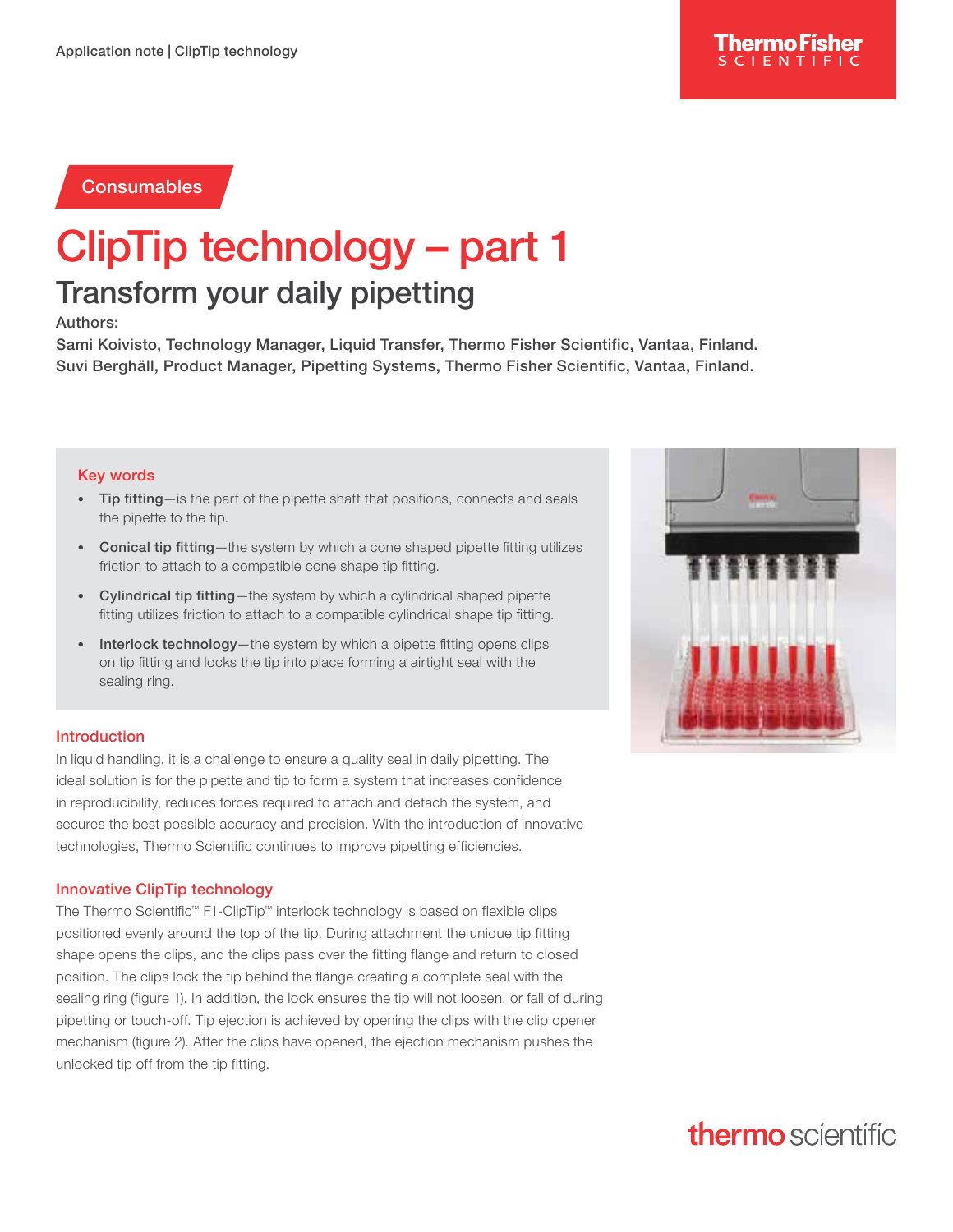### **Consumables**

# ClipTip technology – part 1

### Transform your daily pipetting

#### Authors:

Sami Koivisto, Technology Manager, Liquid Transfer, Thermo Fisher Scientific, Vantaa, Finland. Suvi Berghäll, Product Manager, Pipetting Systems, Thermo Fisher Scientific, Vantaa, Finland.

#### Key words

- Tip fitting—is the part of the pipette shaft that positions, connects and seals the pipette to the tip.
- Conical tip fitting—the system by which a cone shaped pipette fitting utilizes friction to attach to a compatible cone shape tip fitting.
- Cylindrical tip fitting—the system by which a cylindrical shaped pipette fitting utilizes friction to attach to a compatible cylindrical shape tip fitting.
- Interlock technology—the system by which a pipette fitting opens clips on tip fitting and locks the tip into place forming a airtight seal with the sealing ring.

#### Introduction

In liquid handling, it is a challenge to ensure a quality seal in daily pipetting. The ideal solution is for the pipette and tip to form a system that increases confidence in reproducibility, reduces forces required to attach and detach the system, and secures the best possible accuracy and precision. With the introduction of innovative technologies, Thermo Scientific continues to improve pipetting efficiencies.

#### Innovative ClipTip technology

The Thermo Scientific™ F1-ClipTip™ interlock technology is based on flexible clips positioned evenly around the top of the tip. During attachment the unique tip fitting shape opens the clips, and the clips pass over the fitting flange and return to closed position. The clips lock the tip behind the flange creating a complete seal with the sealing ring (figure 1). In addition, the lock ensures the tip will not loosen, or fall of during pipetting or touch-off. Tip ejection is achieved by opening the clips with the clip opener mechanism (figure 2). After the clips have opened, the ejection mechanism pushes the unlocked tip off from the tip fitting.



## **thermo** scientific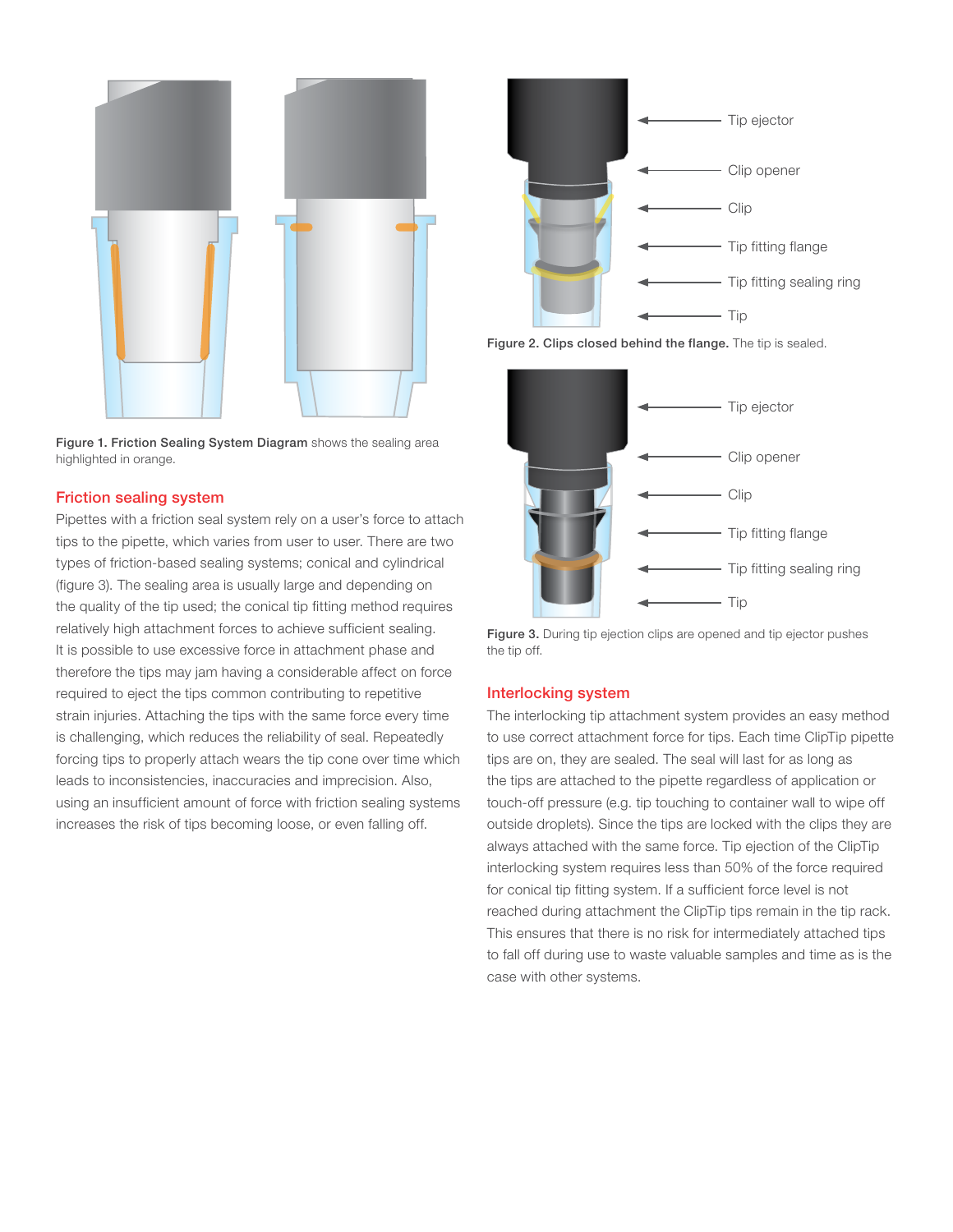

Figure 1. Friction Sealing System Diagram shows the sealing area highlighted in orange.

#### Friction sealing system

Pipettes with a friction seal system rely on a user's force to attach tips to the pipette, which varies from user to user. There are two types of friction-based sealing systems; conical and cylindrical (figure 3). The sealing area is usually large and depending on the quality of the tip used; the conical tip fitting method requires relatively high attachment forces to achieve sufficient sealing. It is possible to use excessive force in attachment phase and therefore the tips may jam having a considerable affect on force required to eject the tips common contributing to repetitive strain injuries. Attaching the tips with the same force every time is challenging, which reduces the reliability of seal. Repeatedly forcing tips to properly attach wears the tip cone over time which leads to inconsistencies, inaccuracies and imprecision. Also, using an insufficient amount of force with friction sealing systems increases the risk of tips becoming loose, or even falling off.







Figure 3. During tip ejection clips are opened and tip ejector pushes the tip off.

#### Interlocking system

The interlocking tip attachment system provides an easy method to use correct attachment force for tips. Each time ClipTip pipette tips are on, they are sealed. The seal will last for as long as the tips are attached to the pipette regardless of application or touch-off pressure (e.g. tip touching to container wall to wipe off outside droplets). Since the tips are locked with the clips they are always attached with the same force. Tip ejection of the ClipTip interlocking system requires less than 50% of the force required for conical tip fitting system. If a sufficient force level is not reached during attachment the ClipTip tips remain in the tip rack. This ensures that there is no risk for intermediately attached tips to fall off during use to waste valuable samples and time as is the case with other systems.